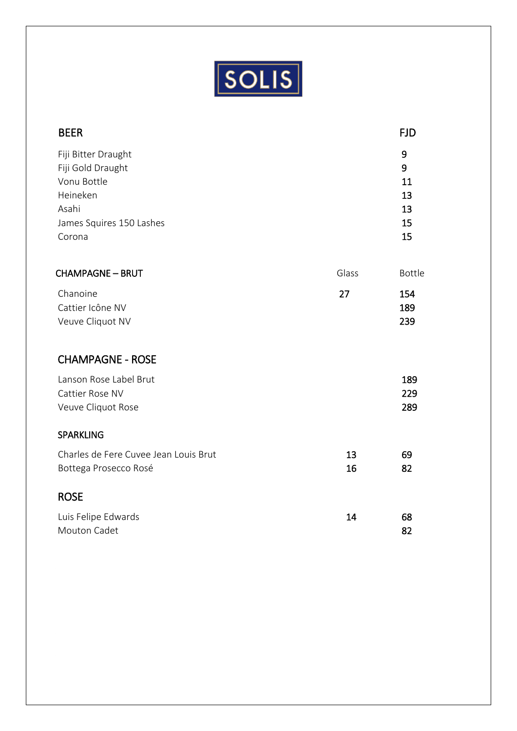

 $\Bigg]$ 

| <b>BEER</b>                                                                                                        |          | <b>FJD</b>                           |
|--------------------------------------------------------------------------------------------------------------------|----------|--------------------------------------|
| Fiji Bitter Draught<br>Fiji Gold Draught<br>Vonu Bottle<br>Heineken<br>Asahi<br>James Squires 150 Lashes<br>Corona |          | 9<br>9<br>11<br>13<br>13<br>15<br>15 |
| <b>CHAMPAGNE - BRUT</b>                                                                                            | Glass    | <b>Bottle</b>                        |
| Chanoine<br>Cattier Icône NV<br>Veuve Cliquot NV                                                                   | 27       | 154<br>189<br>239                    |
| <b>CHAMPAGNE - ROSE</b>                                                                                            |          |                                      |
| Lanson Rose Label Brut<br>Cattier Rose NV<br>Veuve Cliquot Rose                                                    |          | 189<br>229<br>289                    |
| <b>SPARKLING</b>                                                                                                   |          |                                      |
| Charles de Fere Cuvee Jean Louis Brut<br>Bottega Prosecco Rosé                                                     | 13<br>16 | 69<br>82                             |
| <b>ROSE</b>                                                                                                        |          |                                      |
| Luis Felipe Edwards<br>Mouton Cadet                                                                                | 14       | 68<br>82                             |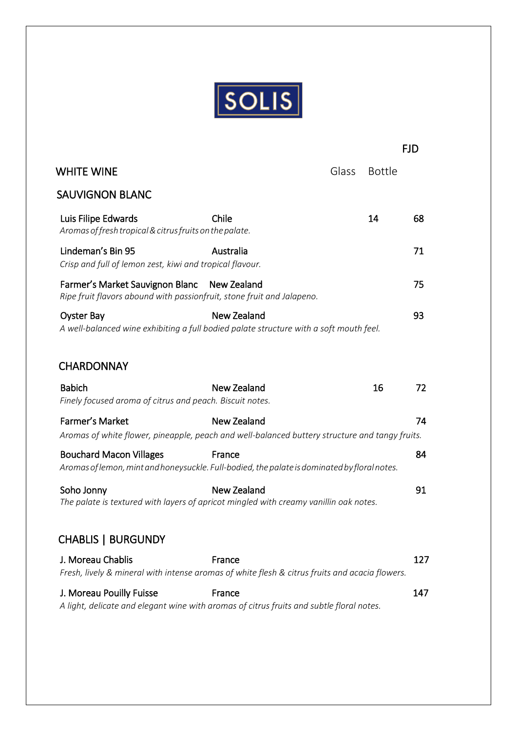

FJD

| <b>WHITE WINE</b>                                                              |                                                                                                              | Glass | <b>Bottle</b> |
|--------------------------------------------------------------------------------|--------------------------------------------------------------------------------------------------------------|-------|---------------|
| <b>SAUVIGNON BLANC</b>                                                         |                                                                                                              |       |               |
| Luis Filipe Edwards<br>Aromas of fresh tropical & citrus fruits on the palate. | Chile                                                                                                        |       | 14            |
| Lindeman's Bin 95<br>Crisp and full of lemon zest, kiwi and tropical flavour.  | Australia                                                                                                    |       |               |
| Farmer's Market Sauvignon Blanc                                                | New Zealand<br>Ripe fruit flavors abound with passionfruit, stone fruit and Jalapeno.                        |       |               |
| <b>Oyster Bay</b>                                                              | <b>New Zealand</b><br>A well-balanced wine exhibiting a full bodied palate structure with a soft mouth feel. |       |               |
|                                                                                |                                                                                                              |       |               |
| <b>CHARDONNAY</b>                                                              |                                                                                                              |       |               |
| <b>Babich</b>                                                                  | New Zealand                                                                                                  |       | 16            |
| Finely focused aroma of citrus and peach. Biscuit notes.                       |                                                                                                              |       |               |
| Farmer's Market                                                                | <b>New Zealand</b>                                                                                           |       |               |
|                                                                                | Aromas of white flower, pineapple, peach and well-balanced buttery structure and tangy fruits.               |       |               |
| <b>Bouchard Macon Villages</b>                                                 | France                                                                                                       |       |               |
|                                                                                | Aromas of lemon, mint and honeysuckle. Full-bodied, the palate is dominated by floral notes.                 |       |               |
| Soho Jonny                                                                     | New Zealand                                                                                                  |       |               |
|                                                                                | The palate is textured with layers of apricot mingled with creamy vanillin oak notes.                        |       |               |
| <b>CHABLIS   BURGUNDY</b>                                                      |                                                                                                              |       |               |
| J. Moreau Chablis                                                              | France<br>Fresh, lively & mineral with intense aromas of white flesh & citrus fruits and acacia flowers.     |       |               |
|                                                                                |                                                                                                              |       |               |
| J. Moreau Pouilly Fuisse                                                       | France                                                                                                       |       |               |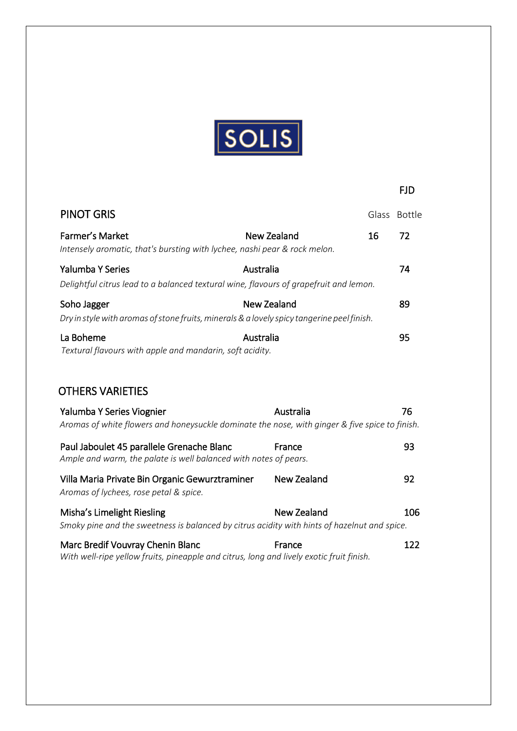

FJD

# PINOT GRIS Glass Bottle Farmer's Market **New Zealand** 16 72  *Intensely aromatic, that's bursting with lychee, nashi pear & rock melon.*  **Talumba Y Series Propose Australia Propose Australia** *PA Delightful citrus lead to a balanced textural wine, flavours of grapefruit and lemon.* Soho Jagger New Zealand 29  *Dry instylewith aromas ofstone fruits,minerals&a lovely spicy tangerine peelfinish.* La Boheme **Australia Australia Participality Australia Participality 95**  *Textural flavours with apple and mandarin, soft acidity.*

## OTHERS VARIETIES

| Yalumba Y Series Viognier                                                                                                  | Australia   | 76  |
|----------------------------------------------------------------------------------------------------------------------------|-------------|-----|
| Aromas of white flowers and honeysuckle dominate the nose, with ginger & five spice to finish.                             |             |     |
| Paul Jaboulet 45 parallele Grenache Blanc<br>Ample and warm, the palate is well balanced with notes of pears.              | France      | 93  |
| Villa Maria Private Bin Organic Gewurztraminer<br>Aromas of lychees, rose petal & spice.                                   | New Zealand | 92  |
| Misha's Limelight Riesling<br>Smoky pine and the sweetness is balanced by citrus acidity with hints of hazelnut and spice. | New Zealand | 106 |
| Marc Bredif Vouvray Chenin Blanc                                                                                           | France      | 122 |

 *With well-ripe yellow fruits, pineapple and citrus, long and lively exotic fruit finish.*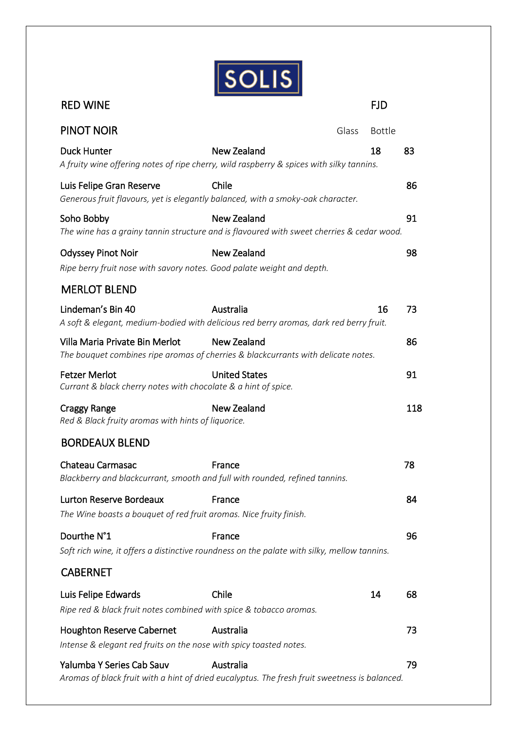

| <b>RED WINE</b>                                                                                                            |                      |       | <b>FJD</b>    |     |
|----------------------------------------------------------------------------------------------------------------------------|----------------------|-------|---------------|-----|
| <b>PINOT NOIR</b>                                                                                                          |                      | Glass | <b>Bottle</b> |     |
| <b>Duck Hunter</b><br>A fruity wine offering notes of ripe cherry, wild raspberry & spices with silky tannins.             | New Zealand          |       | 18            | 83  |
| Luis Felipe Gran Reserve<br>Generous fruit flavours, yet is elegantly balanced, with a smoky-oak character.                | Chile                |       |               | 86  |
| Soho Bobby<br>The wine has a grainy tannin structure and is flavoured with sweet cherries & cedar wood.                    | New Zealand          |       |               | 91  |
| <b>Odyssey Pinot Noir</b><br>Ripe berry fruit nose with savory notes. Good palate weight and depth.                        | <b>New Zealand</b>   |       |               | 98  |
| <b>MERLOT BLEND</b>                                                                                                        |                      |       |               |     |
| Lindeman's Bin 40<br>A soft & elegant, medium-bodied with delicious red berry aromas, dark red berry fruit.                | Australia            |       | 16            | 73  |
| Villa Maria Private Bin Merlot<br>The bouquet combines ripe aromas of cherries & blackcurrants with delicate notes.        | New Zealand          |       |               | 86  |
| <b>Fetzer Merlot</b><br>Currant & black cherry notes with chocolate & a hint of spice.                                     | <b>United States</b> |       |               | 91  |
| <b>Craggy Range</b><br>Red & Black fruity aromas with hints of liquorice.                                                  | <b>New Zealand</b>   |       |               | 118 |
| <b>BORDEAUX BLEND</b>                                                                                                      |                      |       |               |     |
| Chateau Carmasac<br>Blackberry and blackcurrant, smooth and full with rounded, refined tannins.                            | France               |       |               | 78  |
| Lurton Reserve Bordeaux<br>The Wine boasts a bouquet of red fruit aromas. Nice fruity finish.                              | France               |       |               | 84  |
| Dourthe N°1<br>Soft rich wine, it offers a distinctive roundness on the palate with silky, mellow tannins.                 | France               |       |               | 96  |
| <b>CABERNET</b>                                                                                                            |                      |       |               |     |
| Luis Felipe Edwards<br>Ripe red & black fruit notes combined with spice & tobacco aromas.                                  | Chile                |       | 14            | 68  |
| <b>Houghton Reserve Cabernet</b><br>Intense & elegant red fruits on the nose with spicy toasted notes.                     | Australia            |       |               | 73  |
| Yalumba Y Series Cab Sauv<br>Aromas of black fruit with a hint of dried eucalyptus. The fresh fruit sweetness is balanced. | Australia            |       |               | 79  |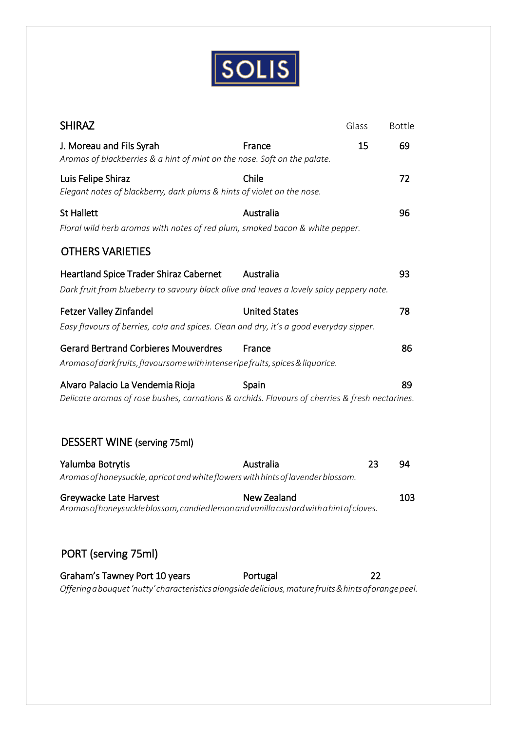

| <b>SHIRAZ</b>                                                                                                                          |                      | Glass | <b>Bottle</b> |
|----------------------------------------------------------------------------------------------------------------------------------------|----------------------|-------|---------------|
| J. Moreau and Fils Syrah<br>Aromas of blackberries & a hint of mint on the nose. Soft on the palate.                                   | France               | 15    | 69            |
| Luis Felipe Shiraz<br>Elegant notes of blackberry, dark plums & hints of violet on the nose.                                           | Chile                |       | 72            |
| <b>St Hallett</b><br>Floral wild herb aromas with notes of red plum, smoked bacon & white pepper.                                      | Australia            |       | 96            |
| <b>OTHERS VARIETIES</b>                                                                                                                |                      |       |               |
| Heartland Spice Trader Shiraz Cabernet<br>Dark fruit from blueberry to savoury black olive and leaves a lovely spicy peppery note.     | Australia            |       | 93            |
| <b>Fetzer Valley Zinfandel</b><br>Easy flavours of berries, cola and spices. Clean and dry, it's a good everyday sipper.               | <b>United States</b> |       | 78            |
| <b>Gerard Bertrand Corbieres Mouverdres</b><br>Aromas of dark fruits, flavoursome with intense ripe fruits, spices & liquorice.        | France               |       | 86            |
| Alvaro Palacio La Vendemia Rioja<br>Delicate aromas of rose bushes, carnations & orchids. Flavours of cherries & fresh nectarines.     | Spain                |       | 89            |
| DESSERT WINE (serving 75ml)                                                                                                            |                      |       |               |
| Yalumba Botrytis<br>Aromas of honeysuckle, apricot and white flowers with hints of lavender blossom.                                   | Australia            | 23    | 94            |
| Greywacke Late Harvest<br>Aromas of honeysuckle blossom, candied lemon and vanilla custard with a hint of cloves.                      | <b>New Zealand</b>   |       | 103           |
| PORT (serving 75ml)                                                                                                                    |                      |       |               |
| Graham's Tawney Port 10 years<br>Offering a bouquet 'nutty' characteristics alongside delicious, mature fruits & hints of orange peel. | Portugal             | 22    |               |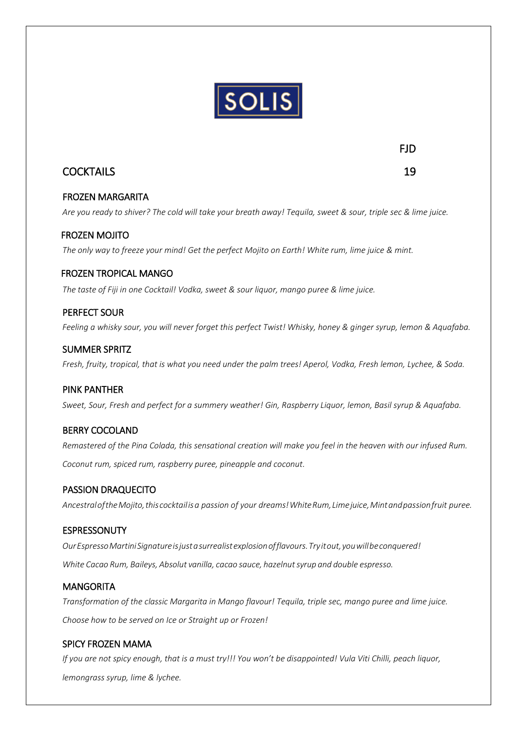

# COCKTAILS 19

#### FROZEN MARGARITA

*Are you ready to shiver? The cold will take your breath away! Tequila, sweet & sour, triple sec & lime juice.*

#### FROZEN MOJITO

*The only way to freeze your mind! Get the perfect Mojito on Earth! White rum, lime juice & mint.*

#### FROZEN TROPICAL MANGO

*The taste of Fiji in one Cocktail! Vodka, sweet & sour liquor, mango puree & lime juice.*

#### PERFECT SOUR

*Feeling a whisky sour, you will never forget this perfect Twist! Whisky, honey & ginger syrup, lemon & Aquafaba.*

#### SUMMER SPRITZ

*Fresh, fruity, tropical, that is what you need under the palm trees! Aperol, Vodka, Fresh lemon, Lychee, & Soda.*

#### PINK PANTHER

*Sweet, Sour, Fresh and perfect for a summery weather! Gin, Raspberry Liquor, lemon, Basil syrup & Aquafaba.* 

#### BERRY COCOLAND

*Remastered of the Pina Colada, this sensational creation will make you feel in the heaven with our infused Rum. Coconut rum, spiced rum, raspberry puree, pineapple and coconut.*

#### PASSION DRAQUECITO

*AncestraloftheMojito,thiscocktailisa passion of your dreams!WhiteRum,Limejuice,Mintandpassionfruit puree.*

#### **ESPRESSONUTY**

*OurEspressoMartiniSignatureisjustasurrealistexplosionofflavours.Tryitout,youwillbeconquered! White Cacao Rum, Baileys, Absolut vanilla, cacao sauce, hazelnutsyrup and double espresso.*

#### **MANGORITA**

l

*Transformation of the classic Margarita in Mango flavour! Tequila, triple sec, mango puree and lime juice. Choose how to be served on Ice or Straight up or Frozen!*

#### SPICY FROZEN MAMA

*If you are not spicy enough, that is a must try!!! You won't be disappointed! Vula Viti Chilli, peach liquor, lemongrass syrup, lime & lychee.*

FJD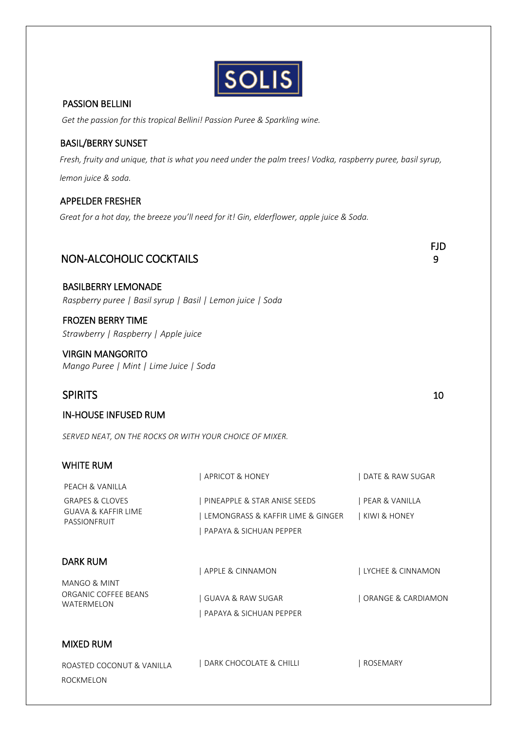|--|

#### PASSION BELLINI

*Get the passion for this tropical Bellini! Passion Puree & Sparkling wine.*

#### BASIL/BERRY SUNSET

 *Fresh, fruity and unique, that is what you need under the palm trees! Vodka, raspberry puree, basil syrup, lemon juice & soda.*

#### APPELDER FRESHER

ROCKMELON

 *Great for a hot day, the breeze you'll need for it! Gin, elderflower, apple juice & Soda.*

| <b>NON-ALCOHOLIC COCKTAILS</b>                                                           |                                                                                                  | <b>FJD</b><br>9                           |
|------------------------------------------------------------------------------------------|--------------------------------------------------------------------------------------------------|-------------------------------------------|
| <b>BASILBERRY LEMONADE</b><br>Raspberry puree   Basil syrup   Basil   Lemon juice   Soda |                                                                                                  |                                           |
| <b>FROZEN BERRY TIME</b><br>Strawberry   Raspberry   Apple juice                         |                                                                                                  |                                           |
| <b>VIRGIN MANGORITO</b><br>Mango Puree   Mint   Lime Juice   Soda                        |                                                                                                  |                                           |
| <b>SPIRITS</b>                                                                           |                                                                                                  | 10                                        |
| <b>IN-HOUSE INFUSED RUM</b>                                                              |                                                                                                  |                                           |
| SERVED NEAT, ON THE ROCKS OR WITH YOUR CHOICE OF MIXER.                                  |                                                                                                  |                                           |
| <b>WHITE RUM</b><br>PEACH & VANILLA                                                      | APRICOT & HONEY                                                                                  | DATE & RAW SUGAR                          |
| <b>GRAPES &amp; CLOVES</b><br><b>GUAVA &amp; KAFFIR LIME</b><br>PASSIONFRUIT             | PINEAPPLE & STAR ANISE SEEDS<br>  LEMONGRASS & KAFFIR LIME & GINGER<br>  PAPAYA & SICHUAN PEPPER | PEAR & VANILLA<br>  KIWI & HONEY          |
| <b>DARK RUM</b><br><b>MANGO &amp; MINT</b><br>ORGANIC COFFEE BEANS<br>WATERMELON         | APPLE & CINNAMON<br>  GUAVA & RAW SUGAR<br>  PAPAYA & SICHUAN PEPPER                             | LYCHEE & CINNAMON<br>  ORANGE & CARDIAMON |
| <b>MIXED RUM</b>                                                                         |                                                                                                  |                                           |
| ROASTED COCONUT & VANILLA                                                                | DARK CHOCOLATE & CHILLI                                                                          | ROSEMARY                                  |